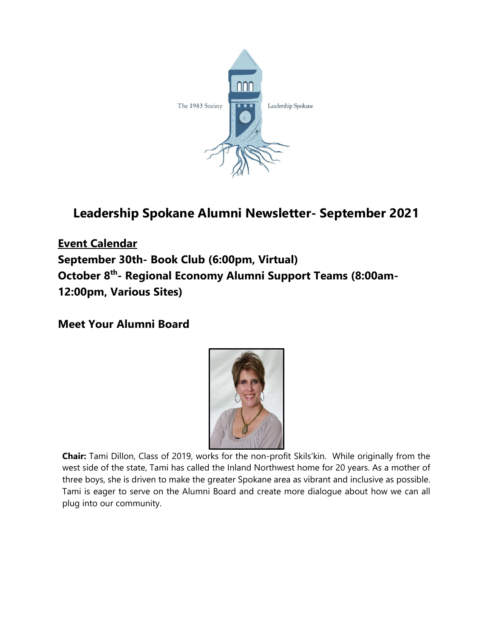

# **Leadership Spokane Alumni Newsletter- September 2021**

**Event Calendar September 30th- Book Club (6:00pm, Virtual) October 8th- Regional Economy Alumni Support Teams (8:00am-12:00pm, Various Sites)**

**Meet Your Alumni Board**



**Chair:** Tami Dillon, Class of 2019, works for the non-profit Skils'kin. While originally from the west side of the state, Tami has called the Inland Northwest home for 20 years. As a mother of three boys, she is driven to make the greater Spokane area as vibrant and inclusive as possible. Tami is eager to serve on the Alumni Board and create more dialogue about how we can all plug into our community.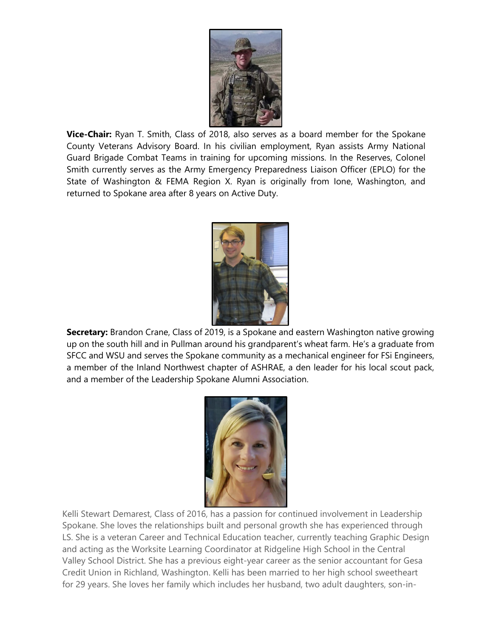

**Vice-Chair:** Ryan T. Smith, Class of 2018, also serves as a board member for the Spokane County Veterans Advisory Board. In his civilian employment, Ryan assists Army National Guard Brigade Combat Teams in training for upcoming missions. In the Reserves, Colonel Smith currently serves as the Army Emergency Preparedness Liaison Officer (EPLO) for the State of Washington & FEMA Region X. Ryan is originally from Ione, Washington, and returned to Spokane area after 8 years on Active Duty.



**Secretary:** Brandon Crane, Class of 2019, is a Spokane and eastern Washington native growing up on the south hill and in Pullman around his grandparent's wheat farm. He's a graduate from SFCC and WSU and serves the Spokane community as a mechanical engineer for FSi Engineers, a member of the Inland Northwest chapter of ASHRAE, a den leader for his local scout pack, and a member of the Leadership Spokane Alumni Association.



Kelli Stewart Demarest, Class of 2016, has a passion for continued involvement in Leadership Spokane. She loves the relationships built and personal growth she has experienced through LS. She is a veteran Career and Technical Education teacher, currently teaching Graphic Design and acting as the Worksite Learning Coordinator at Ridgeline High School in the Central Valley School District. She has a previous eight-year career as the senior accountant for Gesa Credit Union in Richland, Washington. Kelli has been married to her high school sweetheart for 29 years. She loves her family which includes her husband, two adult daughters, son-in-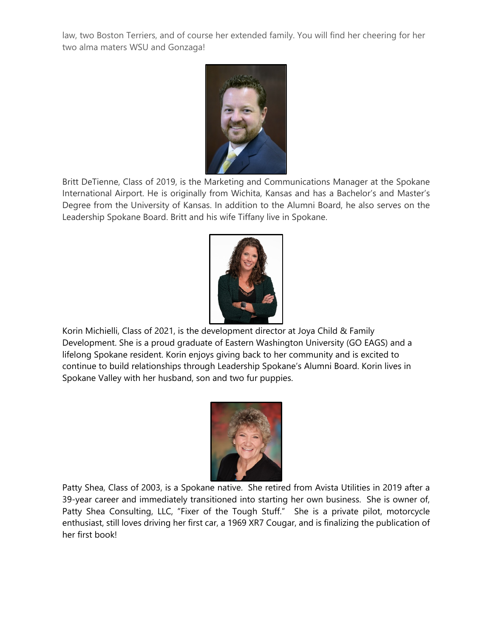law, two Boston Terriers, and of course her extended family. You will find her cheering for her two alma maters WSU and Gonzaga!



Britt DeTienne, Class of 2019, is the Marketing and Communications Manager at the Spokane International Airport. He is originally from Wichita, Kansas and has a Bachelor's and Master's Degree from the University of Kansas. In addition to the Alumni Board, he also serves on the Leadership Spokane Board. Britt and his wife Tiffany live in Spokane.



Korin Michielli, Class of 2021, is the development director at Joya Child & Family Development. She is a proud graduate of Eastern Washington University (GO EAGS) and a lifelong Spokane resident. Korin enjoys giving back to her community and is excited to continue to build relationships through Leadership Spokane's Alumni Board. Korin lives in Spokane Valley with her husband, son and two fur puppies.



Patty Shea, Class of 2003, is a Spokane native. She retired from Avista Utilities in 2019 after a 39-year career and immediately transitioned into starting her own business. She is owner of, Patty Shea Consulting, LLC, "Fixer of the Tough Stuff." She is a private pilot, motorcycle enthusiast, still loves driving her first car, a 1969 XR7 Cougar, and is finalizing the publication of her first book!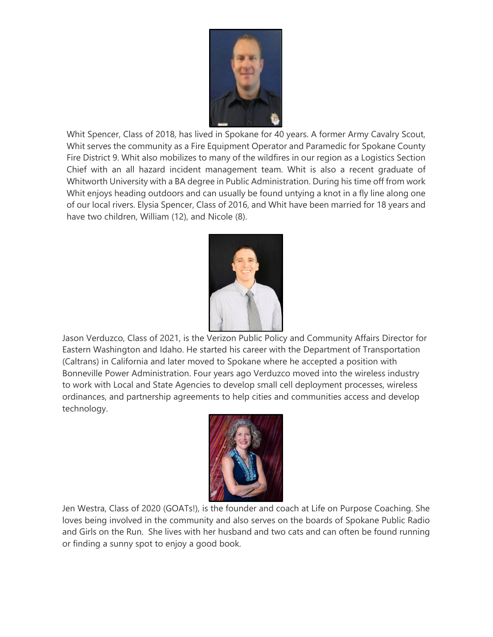

Whit Spencer, Class of 2018, has lived in Spokane for 40 years. A former Army Cavalry Scout, Whit serves the community as a Fire Equipment Operator and Paramedic for Spokane County Fire District 9. Whit also mobilizes to many of the wildfires in our region as a Logistics Section Chief with an all hazard incident management team. Whit is also a recent graduate of Whitworth University with a BA degree in Public Administration. During his time off from work Whit enjoys heading outdoors and can usually be found untying a knot in a fly line along one of our local rivers. Elysia Spencer, Class of 2016, and Whit have been married for 18 years and have two children, William (12), and Nicole (8).



Jason Verduzco, Class of 2021, is the Verizon Public Policy and Community Affairs Director for Eastern Washington and Idaho. He started his career with the Department of Transportation (Caltrans) in California and later moved to Spokane where he accepted a position with Bonneville Power Administration. Four years ago Verduzco moved into the wireless industry to work with Local and State Agencies to develop small cell deployment processes, wireless ordinances, and partnership agreements to help cities and communities access and develop technology.



Jen Westra, Class of 2020 (GOATs!), is the founder and coach at Life on Purpose Coaching. She loves being involved in the community and also serves on the boards of Spokane Public Radio and Girls on the Run. She lives with her husband and two cats and can often be found running or finding a sunny spot to enjoy a good book.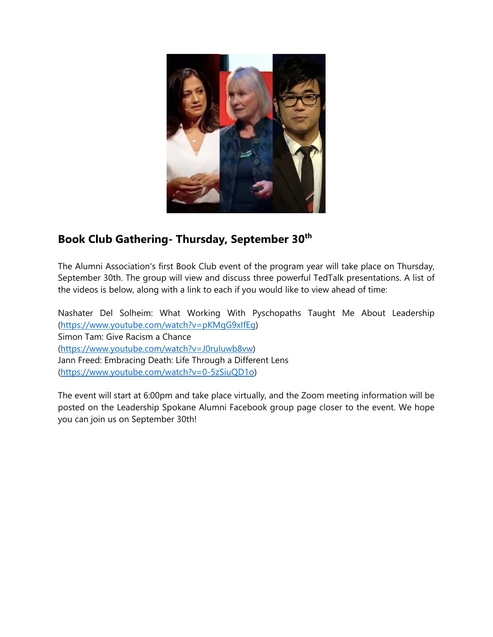

# **Book Club Gathering- Thursday, September 30th**

The Alumni Association's first Book Club event of the program year will take place on Thursday, September 30th. The group will view and discuss three powerful TedTalk presentations. A list of the videos is below, along with a link to each if you would like to view ahead of time:

Nashater Del Solheim: What Working With Pyschopaths Taught Me About Leadership [\(https://www.youtube.com/watch?v=pKMgG9xIfEg\)](https://www.youtube.com/watch?v=pKMgG9xIfEg) Simon Tam: Give Racism a Chance [\(https://www.youtube.com/watch?v=J0ruIuwb8vw\)](https://www.youtube.com/watch?v=J0ruIuwb8vw) Jann Freed: Embracing Death: Life Through a Different Lens [\(https://www.youtube.com/watch?v=0-5zSiuQD1o\)](https://www.youtube.com/watch?v=0-5zSiuQD1o)

The event will start at 6:00pm and take place virtually, and the Zoom meeting information will be posted on the Leadership Spokane Alumni Facebook group page closer to the event. We hope you can join us on September 30th!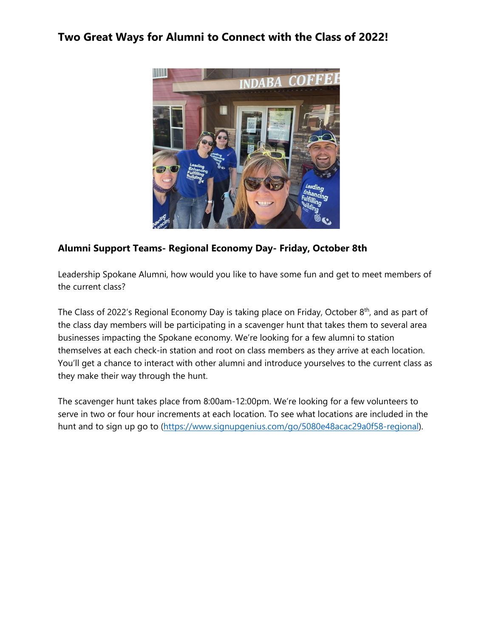### **Two Great Ways for Alumni to Connect with the Class of 2022!**



#### **Alumni Support Teams- Regional Economy Day- Friday, October 8th**

Leadership Spokane Alumni, how would you like to have some fun and get to meet members of the current class?

The Class of 2022's Regional Economy Day is taking place on Friday, October 8<sup>th</sup>, and as part of the class day members will be participating in a scavenger hunt that takes them to several area businesses impacting the Spokane economy. We're looking for a few alumni to station themselves at each check-in station and root on class members as they arrive at each location. You'll get a chance to interact with other alumni and introduce yourselves to the current class as they make their way through the hunt.

The scavenger hunt takes place from 8:00am-12:00pm. We're looking for a few volunteers to serve in two or four hour increments at each location. To see what locations are included in the hunt and to sign up go to [\(https://www.signupgenius.com/go/5080e48acac29a0f58-regional\)](https://www.signupgenius.com/go/5080e48acac29a0f58-regional).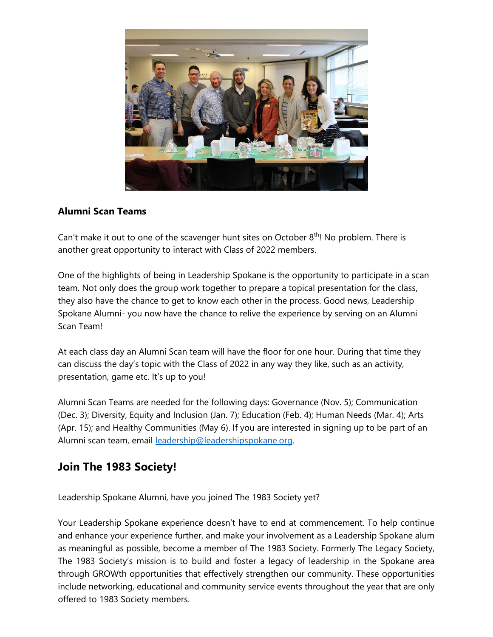

#### **Alumni Scan Teams**

Can't make it out to one of the scavenger hunt sites on October  $8<sup>th</sup>$ ! No problem. There is another great opportunity to interact with Class of 2022 members.

One of the highlights of being in Leadership Spokane is the opportunity to participate in a scan team. Not only does the group work together to prepare a topical presentation for the class, they also have the chance to get to know each other in the process. Good news, Leadership Spokane Alumni- you now have the chance to relive the experience by serving on an Alumni Scan Team!

At each class day an Alumni Scan team will have the floor for one hour. During that time they can discuss the day's topic with the Class of 2022 in any way they like, such as an activity, presentation, game etc. It's up to you!

Alumni Scan Teams are needed for the following days: Governance (Nov. 5); Communication (Dec. 3); Diversity, Equity and Inclusion (Jan. 7); Education (Feb. 4); Human Needs (Mar. 4); Arts (Apr. 15); and Healthy Communities (May 6). If you are interested in signing up to be part of an Alumni scan team, email [leadership@leadershipspokane.org.](mailto:leadership@leadershipspokane.org) 

### **Join The 1983 Society!**

Leadership Spokane Alumni, have you joined The 1983 Society yet?

Your Leadership Spokane experience doesn't have to end at commencement. To help continue and enhance your experience further, and make your involvement as a Leadership Spokane alum as meaningful as possible, become a member of The 1983 Society. Formerly The Legacy Society, The 1983 Society's mission is to build and foster a legacy of leadership in the Spokane area through GROWth opportunities that effectively strengthen our community. These opportunities include networking, educational and community service events throughout the year that are only offered to 1983 Society members.